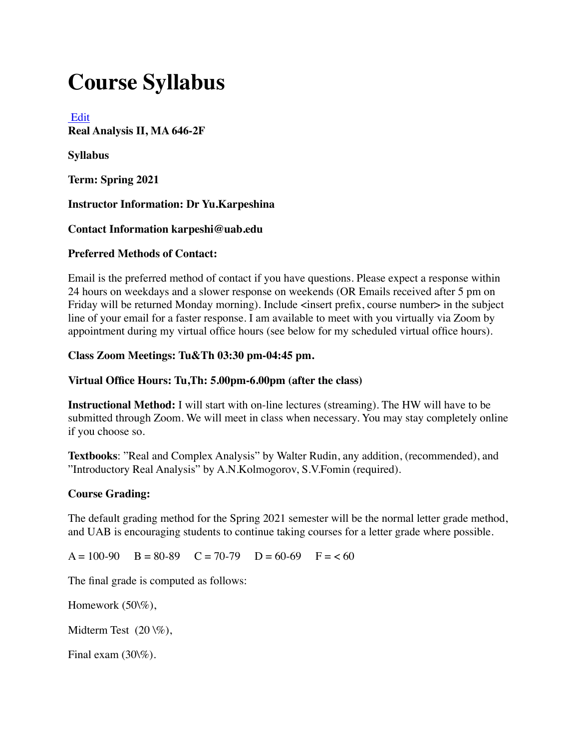# **Course Syllabus**

## [Edit](applewebdata://54214148-F5C9-4B3E-B14D-CF2B590D254D/courses/1533048/assignments/syllabus#)

**Real Analysis II, MA 646-2F**

**Syllabus**

**Term: Spring 2021**

## **Instructor Information: Dr Yu.Karpeshina**

## **Contact Information karpeshi@uab.edu**

## **Preferred Methods of Contact:**

Email is the preferred method of contact if you have questions. Please expect a response within 24 hours on weekdays and a slower response on weekends (OR Emails received after 5 pm on Friday will be returned Monday morning). Include <insert prefix, course number> in the subject line of your email for a faster response. I am available to meet with you virtually via Zoom by appointment during my virtual office hours (see below for my scheduled virtual office hours).

## **Class Zoom Meetings: Tu&Th 03:30 pm-04:45 pm.**

## **Virtual Office Hours: Tu,Th: 5.00pm-6.00pm (after the class)**

**Instructional Method:** I will start with on-line lectures (streaming). The HW will have to be submitted through Zoom. We will meet in class when necessary. You may stay completely online if you choose so.

**Textbooks**: "Real and Complex Analysis" by Walter Rudin, any addition, (recommended), and "Introductory Real Analysis" by A.N.Kolmogorov, S.V.Fomin (required).

## **Course Grading:**

The default grading method for the Spring 2021 semester will be the normal letter grade method, and UAB is encouraging students to continue taking courses for a letter grade where possible.

 $A = 100-90$   $B = 80-89$   $C = 70-79$   $D = 60-69$   $F = < 60$ 

The final grade is computed as follows:

Homework (50\%),

Midterm Test  $(20 \sqrt{\%)}$ ,

Final exam (30\%).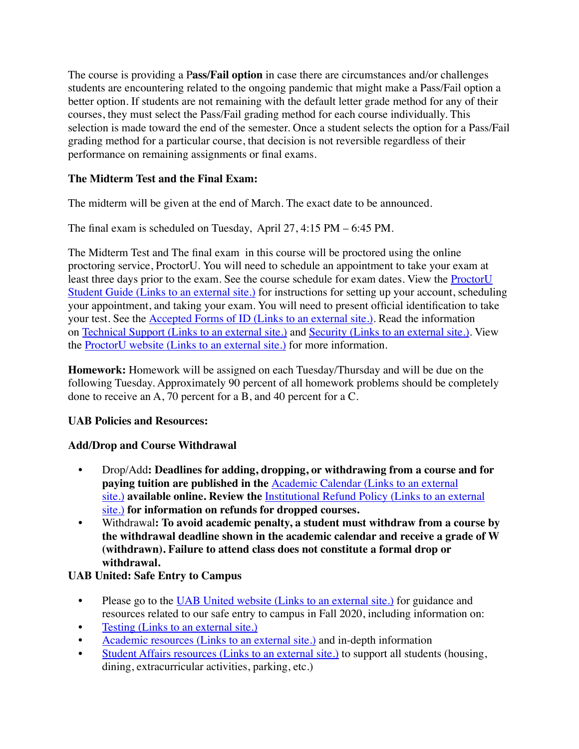The course is providing a P**ass/Fail option** in case there are circumstances and/or challenges students are encountering related to the ongoing pandemic that might make a Pass/Fail option a better option. If students are not remaining with the default letter grade method for any of their courses, they must select the Pass/Fail grading method for each course individually. This selection is made toward the end of the semester. Once a student selects the option for a Pass/Fail grading method for a particular course, that decision is not reversible regardless of their performance on remaining assignments or final exams.

## **The Midterm Test and the Final Exam:**

The midterm will be given at the end of March. The exact date to be announced.

The final exam is scheduled on Tuesday, April 27, 4:15 PM – 6:45 PM.

The Midterm Test and The final exam in this course will be proctored using the online proctoring service, ProctorU. You will need to schedule an appointment to take your exam at least three days prior to the exam. See the course schedule for exam dates. View the ProctorU Student Guide [\(Links to an external site.\)](https://www.uab.edu/elearning/images/canvas/ProctorU_-_How_it_Works_-_TEST-TAKER_UABSH_3_1.compressed.pdf) for instructions for setting up your account, scheduling your appointment, and taking your exam. You will need to present official identification to take your test. See the Accepted Forms of ID [\(Links to an external site.\).](https://www.uab.edu/elearning/images/canvas/ProctorU_UAB_Acceptable_Documents.pdf) Read the information on Technical Support [\(Links to an external site.\)](https://www.uab.edu/elearning/images/ProctorU/UABTechnicalIssues.pdf) and Security [\(Links to an external site.\)](https://www.uab.edu/elearning/images/canvas/Security_Handout_1.pdf). View the ProctorU website [\(Links to an external site.\)](https://www.proctoru.com/?gclid=EAIaIQobChMIh_OV97Kb2AIVDBeBCh08-QarEAAYASAAEgJAzfD_BwE) for more information.

**Homework:** Homework will be assigned on each Tuesday/Thursday and will be due on the following Tuesday. Approximately 90 percent of all homework problems should be completely done to receive an A, 70 percent for a B, and 40 percent for a C.

## **UAB Policies and Resources:**

# **Add/Drop and Course Withdrawal**

- Drop/Add**: Deadlines for adding, dropping, or withdrawing from a course and for paying tuition are published in the** Academic Calendar [\(Links to an external](https://www.uab.edu/students/academics/academic-calendar)  [site.\)](https://www.uab.edu/students/academics/academic-calendar) **available online. Review the** [Institutional Refund Policy](https://www.uab.edu/students/one-stop/policies/institutional-refund-policy) (Links to an external [site.\)](https://www.uab.edu/students/one-stop/policies/institutional-refund-policy) **for information on refunds for dropped courses.**
- Withdrawal**: To avoid academic penalty, a student must withdraw from a course by the withdrawal deadline shown in the academic calendar and receive a grade of W (withdrawn). Failure to attend class does not constitute a formal drop or withdrawal.**

# **UAB United: Safe Entry to Campus**

- Please go to the UAB United website [\(Links to an external site.\)](https://www.uab.edu/uabunited/students) for guidance and resources related to our safe entry to campus in Fall 2020, including information on:
- Testing [\(Links to an external site.\)](https://www.uab.edu/uabunited/students/testing)
- Academic resources [\(Links to an external site.\)](https://www.uab.edu/uabunited/students/academics) and in-depth information
- Student Affairs resources [\(Links to an external site.\)](https://www.uab.edu/uabunited/students/student-affairs) to support all students (housing, dining, extracurricular activities, parking, etc.)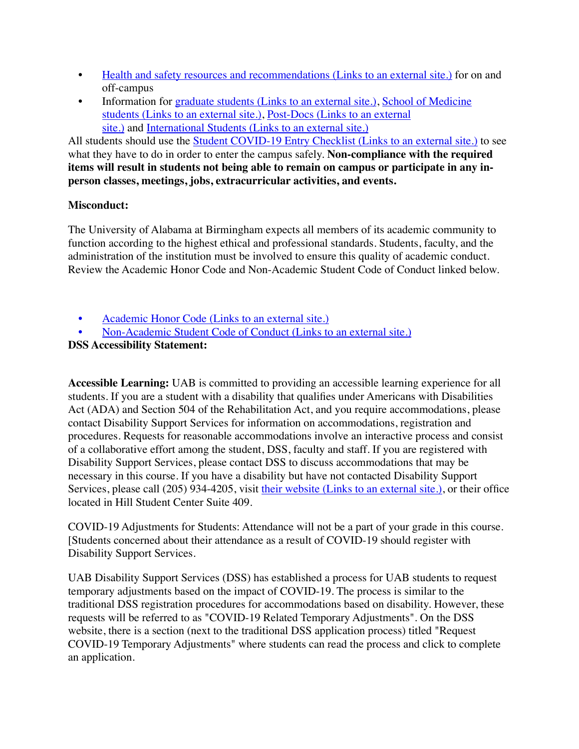- [Health and safety resources and recommendations](https://www.uab.edu/uabunited/students/health-safety) (Links to an external site.) for on and off-campus
- Information for graduate students [\(Links to an external site.\)](https://www.uab.edu/graduate/about/graduate-school-covid-19-updates), [School of Medicine](https://www.uab.edu/medicine/home/covid-19-updates)  students [\(Links to an external site.\),](https://www.uab.edu/medicine/home/covid-19-updates) Post-Docs [\(Links to an external](https://www.uab.edu/postdocs/covid-19)  [site.\)](https://www.uab.edu/postdocs/covid-19) and International Students [\(Links to an external site.\)](https://www.uab.edu/global/about/programs-services/isss/faqs-concerning-recent-sevp-guidance-and-covid-19-planning)

All students should use the [Student COVID-19 Entry Checklist](https://www.uab.edu/uabunited/entry-checklists#student-checklist) (Links to an external site.) to see what they have to do in order to enter the campus safely. **Non-compliance with the required items will result in students not being able to remain on campus or participate in any inperson classes, meetings, jobs, extracurricular activities, and events.**

## **Misconduct:**

The University of Alabama at Birmingham expects all members of its academic community to function according to the highest ethical and professional standards. Students, faculty, and the administration of the institution must be involved to ensure this quality of academic conduct. Review the Academic Honor Code and Non-Academic Student Code of Conduct linked below.

- Academic Honor Code [\(Links to an external site.\)](http://www.uab.edu/students/one-stop/policies/academic-honor-code)
- [Non-Academic Student Code of Conduct](http://www.uab.edu/studentconduct) (Links to an external site.)

## **DSS Accessibility Statement:**

**Accessible Learning:** UAB is committed to providing an accessible learning experience for all students. If you are a student with a disability that qualifies under Americans with Disabilities Act (ADA) and Section 504 of the Rehabilitation Act, and you require accommodations, please contact Disability Support Services for information on accommodations, registration and procedures. Requests for reasonable accommodations involve an interactive process and consist of a collaborative effort among the student, DSS, faculty and staff. If you are registered with Disability Support Services, please contact DSS to discuss accommodations that may be necessary in this course. If you have a disability but have not contacted Disability Support Services, please call (205) 934-4205, visit their website [\(Links to an external site.\),](http://www.uab.edu/dss) or their office located in Hill Student Center Suite 409.

COVID-19 Adjustments for Students: Attendance will not be a part of your grade in this course. [Students concerned about their attendance as a result of COVID-19 should register with Disability Support Services.

UAB Disability Support Services (DSS) has established a process for UAB students to request temporary adjustments based on the impact of COVID-19. The process is similar to the traditional DSS registration procedures for accommodations based on disability. However, these requests will be referred to as "COVID-19 Related Temporary Adjustments". On the DSS website, there is a section (next to the traditional DSS application process) titled "Request COVID-19 Temporary Adjustments" where students can read the process and click to complete an application.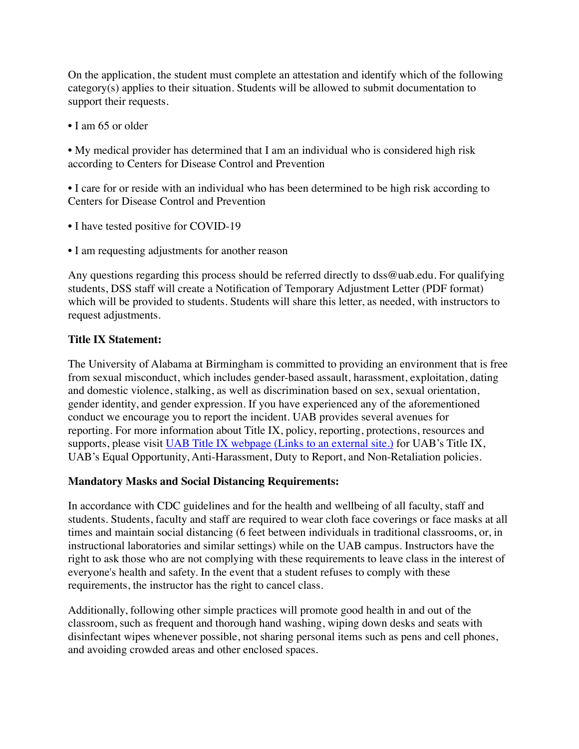On the application, the student must complete an attestation and identify which of the following category(s) applies to their situation. Students will be allowed to submit documentation to support their requests.

• I am 65 or older

• My medical provider has determined that I am an individual who is considered high risk according to Centers for Disease Control and Prevention

• I care for or reside with an individual who has been determined to be high risk according to Centers for Disease Control and Prevention

- I have tested positive for COVID-19
- I am requesting adjustments for another reason

Any questions regarding this process should be referred directly to dss@uab.edu. For qualifying students, DSS staff will create a Notification of Temporary Adjustment Letter (PDF format) which will be provided to students. Students will share this letter, as needed, with instructors to request adjustments.

## **Title IX Statement:**

The University of Alabama at Birmingham is committed to providing an environment that is free from sexual misconduct, which includes gender-based assault, harassment, exploitation, dating and domestic violence, stalking, as well as discrimination based on sex, sexual orientation, gender identity, and gender expression. If you have experienced any of the aforementioned conduct we encourage you to report the incident. UAB provides several avenues for reporting. For more information about Title IX, policy, reporting, protections, resources and supports, please visit UAB Title IX webpage [\(Links to an external site.\)](http://www.uab.edu/titleix) for UAB's Title IX, UAB's Equal Opportunity, Anti-Harassment, Duty to Report, and Non-Retaliation policies.

#### **Mandatory Masks and Social Distancing Requirements:**

In accordance with CDC guidelines and for the health and wellbeing of all faculty, staff and students. Students, faculty and staff are required to wear cloth face coverings or face masks at all times and maintain social distancing (6 feet between individuals in traditional classrooms, or, in instructional laboratories and similar settings) while on the UAB campus. Instructors have the right to ask those who are not complying with these requirements to leave class in the interest of everyone's health and safety. In the event that a student refuses to comply with these requirements, the instructor has the right to cancel class.

Additionally, following other simple practices will promote good health in and out of the classroom, such as frequent and thorough hand washing, wiping down desks and seats with disinfectant wipes whenever possible, not sharing personal items such as pens and cell phones, and avoiding crowded areas and other enclosed spaces.